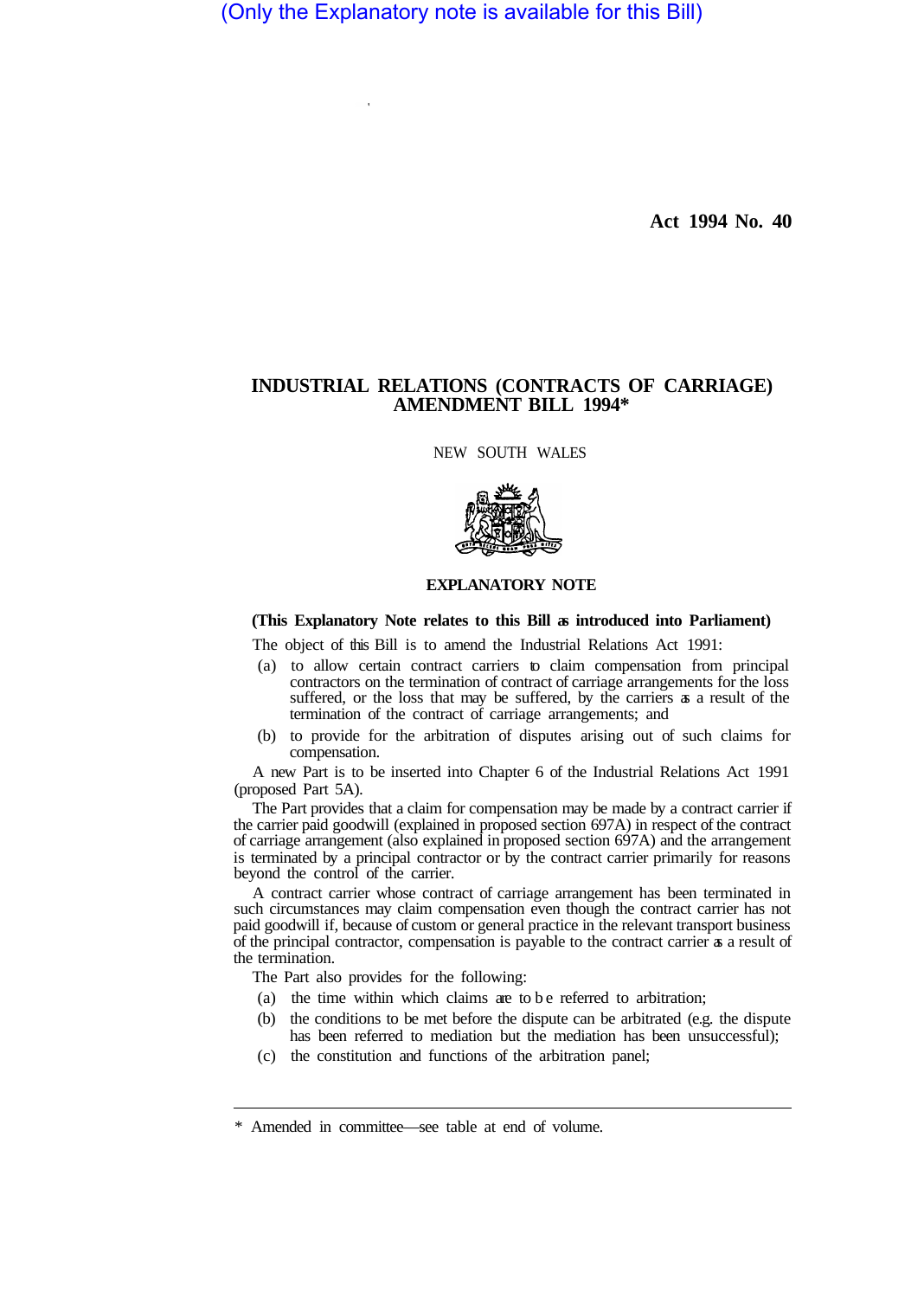(Only the Explanatory note is available for this Bill)

**Act 1994 No. 40** 

## **INDUSTRIAL RELATIONS (CONTRACTS OF CARRIAGE) AMENDMENT BILL 1994\***

NEW SOUTH WALES



## **EXPLANATORY NOTE**

## **(This Explanatory Note relates to this Bill as introduced into Parliament)**

The object of this Bill is to amend the Industrial Relations Act 1991:

- (a) to allow certain contract carriers to claim compensation from principal contractors on the termination of contract of carriage arrangements for the loss suffered, or the loss that may be suffered, by the carriers as a result of the termination of the contract of carriage arrangements; and
- (b) to provide for the arbitration of disputes arising out of such claims for compensation.

A new Part is to be inserted into Chapter 6 of the Industrial Relations Act 1991 (proposed Part 5A).

The Part provides that a claim for compensation may be made by a contract carrier if the carrier paid goodwill (explained in proposed section 697A) in respect of the contract of carriage arrangement (also explained in proposed section 697A) and the arrangement is terminated by a principal contractor or by the contract carrier primarily for reasons beyond the control of the carrier.

A contract carrier whose contract of carriage arrangement has been terminated in such circumstances may claim compensation even though the contract carrier has not paid goodwill if, because of custom or general practice in the relevant transport business of the principal contractor, compensation is payable to the contract carrier as a result of the termination.

The Part also provides for the following:

- (a) the time within which claims are to be referred to arbitration;
- (b) the conditions to be met before the dispute can be arbitrated (e.g. the dispute has been referred to mediation but the mediation has been unsuccessful);
- (c) the constitution and functions of the arbitration panel;

<sup>\*</sup> Amended in committee—see table at end of volume.